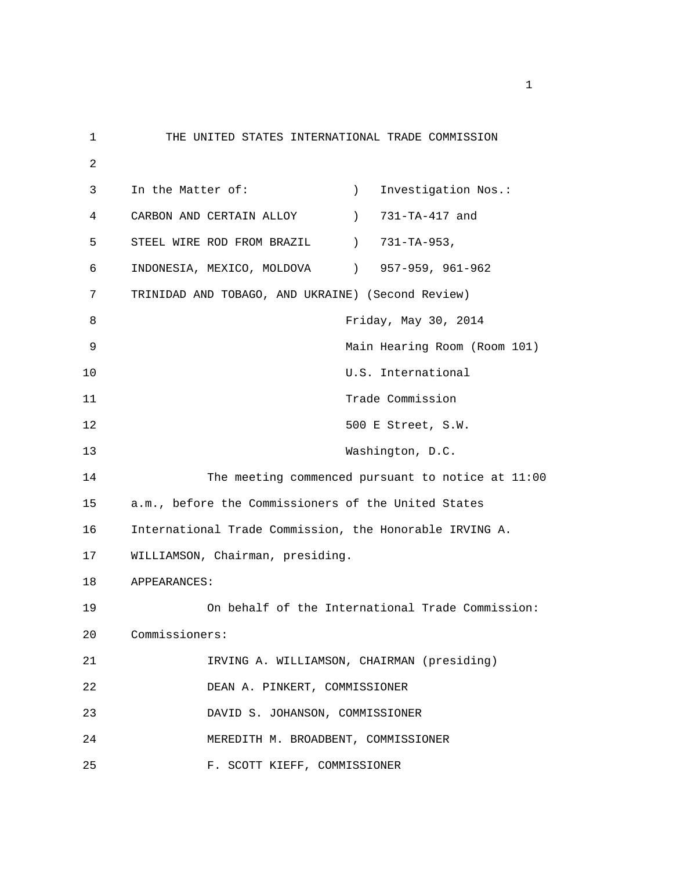1 THE UNITED STATES INTERNATIONAL TRADE COMMISSION 2 3 In the Matter of: ) Investigation Nos.: 4 CARBON AND CERTAIN ALLOY ) 731-TA-417 and 5 STEEL WIRE ROD FROM BRAZIL (2013) 731-TA-953, 6 INDONESIA, MEXICO, MOLDOVA ) 957-959, 961-962 7 TRINIDAD AND TOBAGO, AND UKRAINE) (Second Review) 8 Friday, May 30, 2014 9 Main Hearing Room (Room 101) 10 U.S. International 11 Trade Commission 12 500 E Street, S.W. 13 Washington, D.C. 14 The meeting commenced pursuant to notice at 11:00 15 a.m., before the Commissioners of the United States 16 International Trade Commission, the Honorable IRVING A. 17 WILLIAMSON, Chairman, presiding. 18 APPEARANCES: 19 On behalf of the International Trade Commission: 20 Commissioners: 21 IRVING A. WILLIAMSON, CHAIRMAN (presiding) 22 DEAN A. PINKERT, COMMISSIONER 23 DAVID S. JOHANSON, COMMISSIONER 24 MEREDITH M. BROADBENT, COMMISSIONER 25 F. SCOTT KIEFF, COMMISSIONER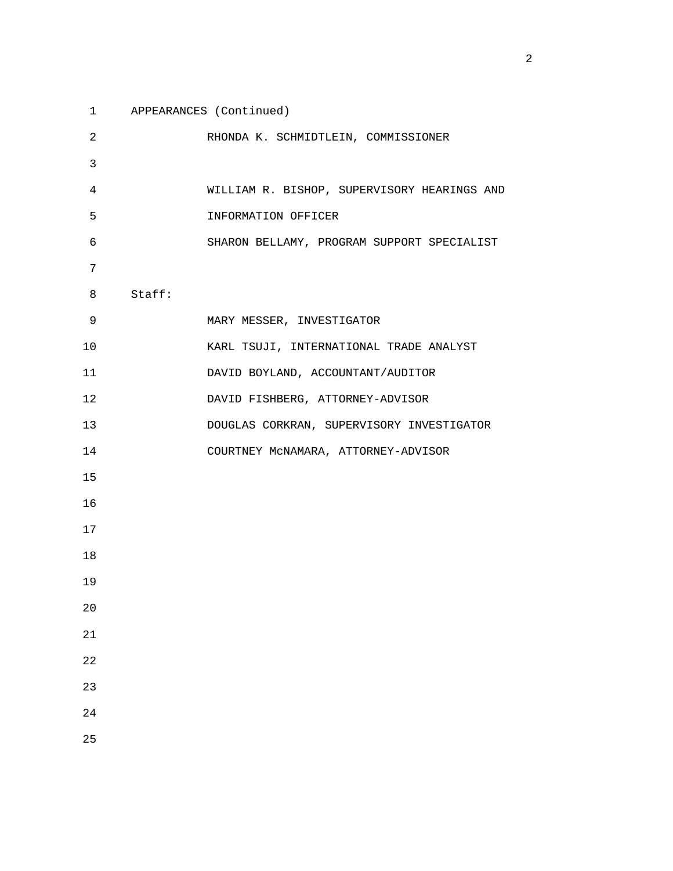| $\mathbf{1}$   |        | APPEARANCES (Continued)                     |
|----------------|--------|---------------------------------------------|
| 2              |        | RHONDA K. SCHMIDTLEIN, COMMISSIONER         |
| $\mathsf{3}$   |        |                                             |
| $\overline{4}$ |        | WILLIAM R. BISHOP, SUPERVISORY HEARINGS AND |
| 5              |        | INFORMATION OFFICER                         |
| 6              |        | SHARON BELLAMY, PROGRAM SUPPORT SPECIALIST  |
| 7              |        |                                             |
| 8              | Staff: |                                             |
| 9              |        | MARY MESSER, INVESTIGATOR                   |
| 10             |        | KARL TSUJI, INTERNATIONAL TRADE ANALYST     |
| 11             |        | DAVID BOYLAND, ACCOUNTANT/AUDITOR           |
| 12             |        | DAVID FISHBERG, ATTORNEY-ADVISOR            |
| 13             |        | DOUGLAS CORKRAN, SUPERVISORY INVESTIGATOR   |
| 14             |        | COURTNEY MCNAMARA, ATTORNEY-ADVISOR         |
| 15             |        |                                             |
| 16             |        |                                             |
| 17             |        |                                             |
| 18             |        |                                             |
| 19             |        |                                             |
| 20             |        |                                             |
| 21             |        |                                             |
| 22             |        |                                             |
| 23             |        |                                             |
| 24             |        |                                             |
| 25             |        |                                             |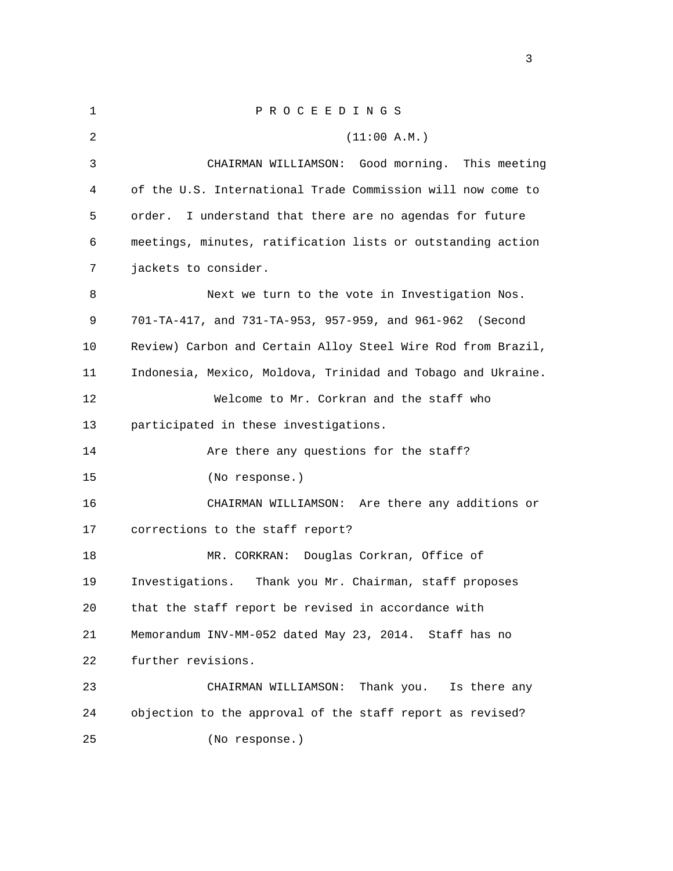| $\mathbf{1}$ | PROCEEDINGS                                                  |
|--------------|--------------------------------------------------------------|
| 2            | (11:00 A.M.)                                                 |
| 3            | CHAIRMAN WILLIAMSON: Good morning. This meeting              |
| 4            | of the U.S. International Trade Commission will now come to  |
| 5            | I understand that there are no agendas for future<br>order.  |
| 6            | meetings, minutes, ratification lists or outstanding action  |
| 7            | jackets to consider.                                         |
| 8            | Next we turn to the vote in Investigation Nos.               |
| 9            | 701-TA-417, and 731-TA-953, 957-959, and 961-962<br>(Second  |
| 10           | Review) Carbon and Certain Alloy Steel Wire Rod from Brazil, |
| 11           | Indonesia, Mexico, Moldova, Trinidad and Tobago and Ukraine. |
| 12           | Welcome to Mr. Corkran and the staff who                     |
| 13           | participated in these investigations.                        |
| 14           | Are there any questions for the staff?                       |
| 15           | (No response.)                                               |
| 16           | CHAIRMAN WILLIAMSON: Are there any additions or              |
| 17           | corrections to the staff report?                             |
| 18           | Douglas Corkran, Office of<br>MR. CORKRAN:                   |
| 19           | Investigations.<br>Thank you Mr. Chairman, staff proposes    |
| 20           | that the staff report be revised in accordance with          |
| 21           | Memorandum INV-MM-052 dated May 23, 2014. Staff has no       |
| 22           | further revisions.                                           |
| 23           | CHAIRMAN WILLIAMSON:<br>Thank you.<br>Is there any           |
| 24           | objection to the approval of the staff report as revised?    |
| 25           | (No response.)                                               |

<u>3</u>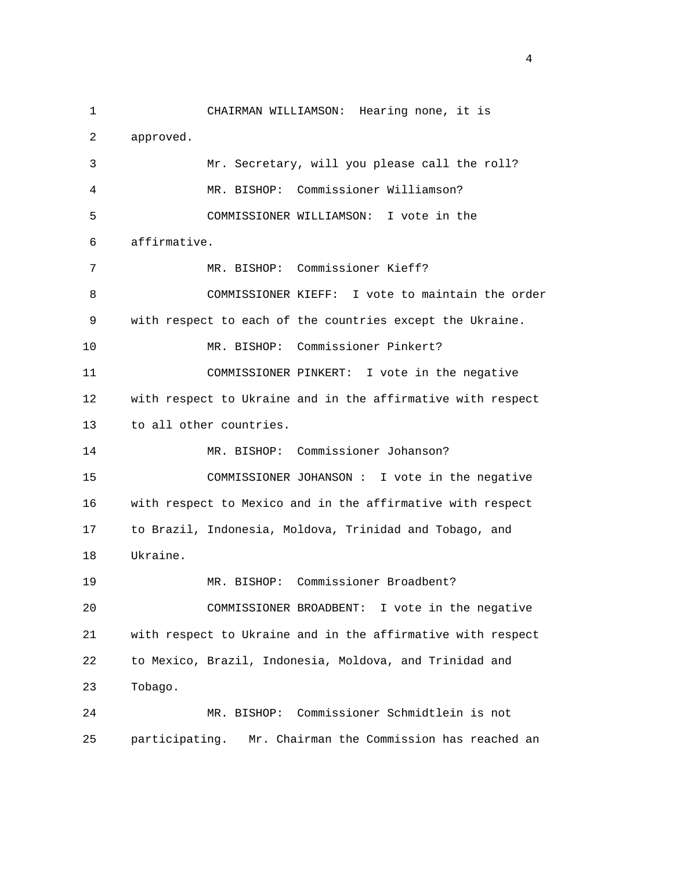1 CHAIRMAN WILLIAMSON: Hearing none, it is 2 approved. 3 Mr. Secretary, will you please call the roll? 4 MR. BISHOP: Commissioner Williamson? 5 COMMISSIONER WILLIAMSON: I vote in the 6 affirmative. 7 MR. BISHOP: Commissioner Kieff? 8 COMMISSIONER KIEFF: I vote to maintain the order 9 with respect to each of the countries except the Ukraine. 10 MR. BISHOP: Commissioner Pinkert? 11 COMMISSIONER PINKERT: I vote in the negative 12 with respect to Ukraine and in the affirmative with respect 13 to all other countries. 14 MR. BISHOP: Commissioner Johanson? 15 COMMISSIONER JOHANSON : I vote in the negative 16 with respect to Mexico and in the affirmative with respect 17 to Brazil, Indonesia, Moldova, Trinidad and Tobago, and 18 Ukraine. 19 MR. BISHOP: Commissioner Broadbent? 20 COMMISSIONER BROADBENT: I vote in the negative 21 with respect to Ukraine and in the affirmative with respect 22 to Mexico, Brazil, Indonesia, Moldova, and Trinidad and 23 Tobago. 24 MR. BISHOP: Commissioner Schmidtlein is not 25 participating. Mr. Chairman the Commission has reached an

4